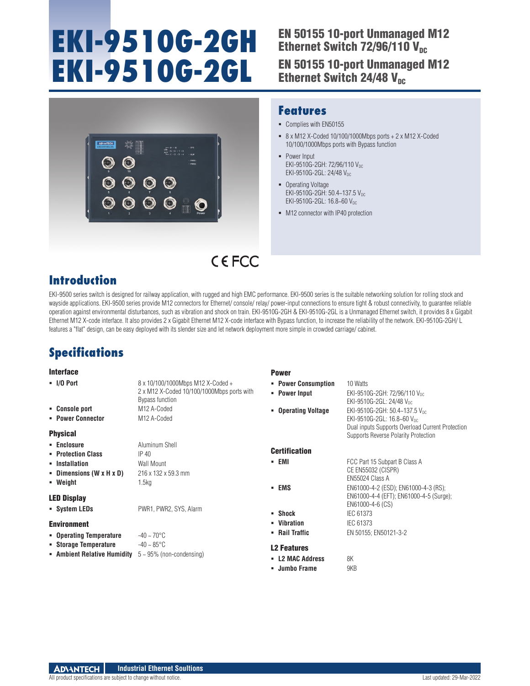# **EKI-9510G-2GH EKI-9510G-2GL**

## EN 50155 10-port Unmanaged M12 Ethernet Switch  $72/96/110$  V<sub>nc</sub> EN 50155 10-port Unmanaged M12 Ethernet Switch 24/48  $V_{nc}$



### **Features**

- Complies with EN50155
- $8 \times M12$  X-Coded 10/100/1000Mbps ports + 2 x M12 X-Coded 10/100/1000Mbps ports with Bypass function
- **Power Input** EKI-9510G-2GH: 72/96/110 Vpc EKI-9510G-2GL: 24/48 VDC
- Operating Voltage EKI-9510G-2GH: 50.4~137.5 VDC EKI-9510G-2GL: 16.8~60 VDC
- $-M12$  connector with IP40 protection

## **Introduction**

EKI-9500 series switch is designed for railway application, with rugged and high EMC performance. EKI-9500 series is the suitable networking solution for rolling stock and wayside applications. EKI-9500 series provide M12 connectors for Ethernet/ console/ relay/ power-input connections to ensure tight & robust connectivity, to guarantee reliable operation against environmental disturbances, such as vibration and shock on train. EKI-9510G-2GH & EKI-9510G-2GL is a Unmanaged Ethernet switch, it provides 8 x Gigabit Ethernet M12 X-code interface. It also provides 2 x Gigabit Ethernet M12 X-code interface with Bypass function, to increase the reliability of the network. EKI-9510G-2GH/ L features a "flat" design, can be easy deployed with its slender size and let network deployment more simple in crowded carriage/ cabinet.

CEFCC

**Dower** 

## **Specifications**

#### Interface

| IIIwi Iavu                           |                                                                                                    | <b>FUWGI</b>                         |                                                                                              |
|--------------------------------------|----------------------------------------------------------------------------------------------------|--------------------------------------|----------------------------------------------------------------------------------------------|
| $\blacksquare$ I/O Port              | 8 x 10/100/1000Mbps M12 X-Coded +<br>2 x M12 X-Coded 10/100/1000Mbps ports with<br>Bypass function | • Power Consumption<br>• Power Input | 10 Watts<br>EKI-9510G-2GH: 72/96/110 V <sub>DC</sub><br>EKI-9510G-2GL: 24/48 V <sub>DC</sub> |
| • Console port                       | M <sub>12</sub> A-Coded                                                                            | • Operating Voltage                  | EKI-9510G-2GH: 50.4~137.5 Voc.                                                               |
| • Power Connector                    | M <sub>12</sub> A-Coded                                                                            |                                      | EKI-9510G-2GL: 16.8~60 Vnc                                                                   |
| <b>Physical</b>                      |                                                                                                    |                                      | Dual inputs Supports Overload Current Protection<br>Supports Reverse Polarity Protection     |
| • Enclosure                          | Aluminum Shell                                                                                     |                                      |                                                                                              |
| • Protection Class                   | IP 40                                                                                              | <b>Certification</b>                 |                                                                                              |
| • Installation                       | Wall Mount                                                                                         | - EMI                                | FCC Part 15 Subpart B Class A                                                                |
| - Dimensions $(W \times H \times D)$ | 216 x 132 x 59.3 mm                                                                                |                                      | CE EN55032 (CISPR)                                                                           |
| • Weight                             | 1.5kg                                                                                              |                                      | EN55024 Class A                                                                              |
|                                      |                                                                                                    | - EMS                                | EN61000-4-2 (ESD); EN61000-4-3 (RS);                                                         |
| <b>LED Display</b>                   |                                                                                                    |                                      | EN61000-4-4 (EFT); EN61000-4-5 (Surge);<br>EN61000-4-6 (CS)                                  |
| • System LEDs                        | PWR1, PWR2, SYS, Alarm                                                                             | • Shock                              | IEC 61373                                                                                    |
| <b>Environment</b>                   |                                                                                                    | • Vibration                          | IEC 61373                                                                                    |
| • Operating Temperature              | $-40 \sim 70^{\circ}$ C                                                                            | • Rail Traffic                       | EN 50155; EN50121-3-2                                                                        |
| • Storage Temperature                | $-40 - 85^{\circ}$ C                                                                               |                                      |                                                                                              |
| • Ambient Relative Humidity          | $5 \sim 95\%$ (non-condensing)                                                                     | <b>L2 Features</b>                   |                                                                                              |
|                                      |                                                                                                    | - L2 MAC Address                     | 8K                                                                                           |
|                                      |                                                                                                    | • Jumbo Frame                        | 9KB                                                                                          |

#### **ADVANTECH Industrial Ethernet Soultions**